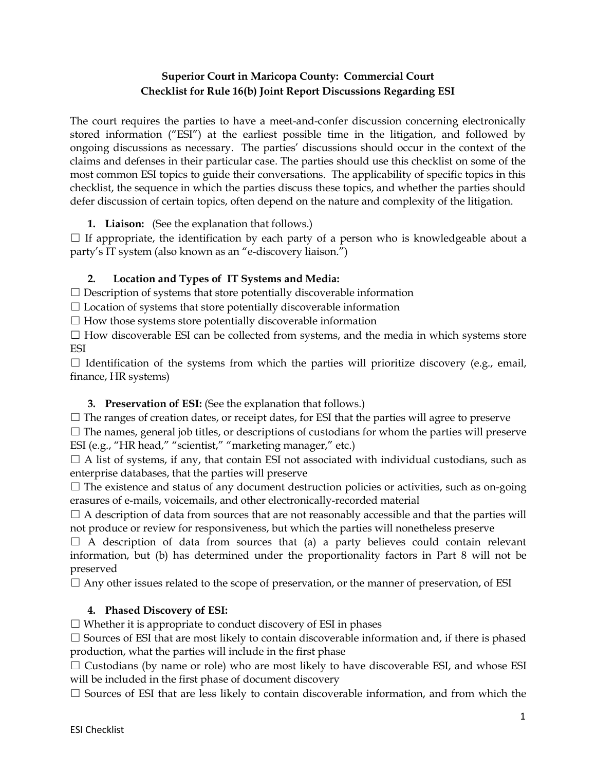## **Superior Court in Maricopa County: Commercial Court Checklist for Rule 16(b) Joint Report Discussions Regarding ESI**

The court requires the parties to have a meet-and-confer discussion concerning electronically stored information ("ESI") at the earliest possible time in the litigation, and followed by ongoing discussions as necessary. The parties' discussions should occur in the context of the claims and defenses in their particular case. The parties should use this checklist on some of the most common ESI topics to guide their conversations. The applicability of specific topics in this checklist, the sequence in which the parties discuss these topics, and whether the parties should defer discussion of certain topics, often depend on the nature and complexity of the litigation.

**1. Liaison:** (See the explanation that follows.)

 $\Box$  If appropriate, the identification by each party of a person who is knowledgeable about a party's IT system (also known as an "e-discovery liaison.")

## **2. Location and Types of IT Systems and Media:**

 $\Box$  Description of systems that store potentially discoverable information

 $\Box$  Location of systems that store potentially discoverable information

 $\square$  How those systems store potentially discoverable information

 $\Box$  How discoverable ESI can be collected from systems, and the media in which systems store ESI

 $\Box$  Identification of the systems from which the parties will prioritize discovery (e.g., email, finance, HR systems)

# **3. Preservation of ESI:** (See the explanation that follows.)

 $\Box$  The ranges of creation dates, or receipt dates, for ESI that the parties will agree to preserve

 $\Box$  The names, general job titles, or descriptions of custodians for whom the parties will preserve ESI (e.g., "HR head," "scientist," "marketing manager," etc.)

 $\Box$  A list of systems, if any, that contain ESI not associated with individual custodians, such as enterprise databases, that the parties will preserve

 $\Box$  The existence and status of any document destruction policies or activities, such as on-going erasures of e-mails, voicemails, and other electronically-recorded material

 $\Box$  A description of data from sources that are not reasonably accessible and that the parties will not produce or review for responsiveness, but which the parties will nonetheless preserve

 $\Box$  A description of data from sources that (a) a party believes could contain relevant information, but (b) has determined under the proportionality factors in Part 8 will not be preserved

 $\Box$  Any other issues related to the scope of preservation, or the manner of preservation, of ESI

# **4. Phased Discovery of ESI:**

 $\Box$  Whether it is appropriate to conduct discovery of ESI in phases

 $\Box$  Sources of ESI that are most likely to contain discoverable information and, if there is phased production, what the parties will include in the first phase

 $\Box$  Custodians (by name or role) who are most likely to have discoverable ESI, and whose ESI will be included in the first phase of document discovery

 $\Box$  Sources of ESI that are less likely to contain discoverable information, and from which the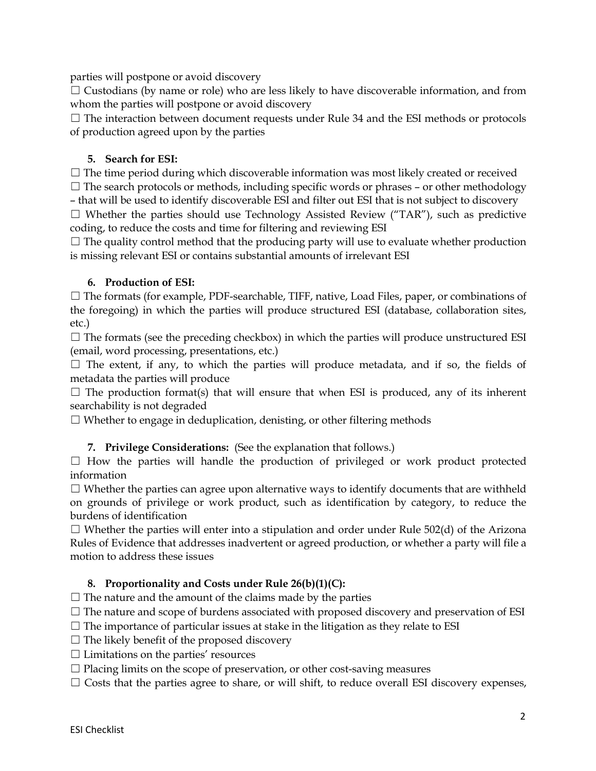parties will postpone or avoid discovery

 $\Box$  Custodians (by name or role) who are less likely to have discoverable information, and from whom the parties will postpone or avoid discovery

 $\Box$  The interaction between document requests under Rule 34 and the ESI methods or protocols of production agreed upon by the parties

### **5. Search for ESI:**

 $\Box$  The time period during which discoverable information was most likely created or received  $\Box$  The search protocols or methods, including specific words or phrases – or other methodology

– that will be used to identify discoverable ESI and filter out ESI that is not subject to discovery  $\Box$  Whether the parties should use Technology Assisted Review ("TAR"), such as predictive coding, to reduce the costs and time for filtering and reviewing ESI

 $\Box$  The quality control method that the producing party will use to evaluate whether production is missing relevant ESI or contains substantial amounts of irrelevant ESI

#### **6. Production of ESI:**

 $\Box$  The formats (for example, PDF-searchable, TIFF, native, Load Files, paper, or combinations of the foregoing) in which the parties will produce structured ESI (database, collaboration sites, etc.)

 $\Box$  The formats (see the preceding checkbox) in which the parties will produce unstructured ESI (email, word processing, presentations, etc.)

 $\Box$  The extent, if any, to which the parties will produce metadata, and if so, the fields of metadata the parties will produce

 $\Box$  The production format(s) that will ensure that when ESI is produced, any of its inherent searchability is not degraded

 $\Box$  Whether to engage in deduplication, denisting, or other filtering methods

#### **7. Privilege Considerations:** (See the explanation that follows.)

 $\Box$  How the parties will handle the production of privileged or work product protected information

 $\Box$  Whether the parties can agree upon alternative ways to identify documents that are withheld on grounds of privilege or work product, such as identification by category, to reduce the burdens of identification

 $\Box$  Whether the parties will enter into a stipulation and order under Rule 502(d) of the Arizona Rules of Evidence that addresses inadvertent or agreed production, or whether a party will file a motion to address these issues

#### **8. Proportionality and Costs under Rule 26(b)(1)(C):**

 $\Box$  The nature and the amount of the claims made by the parties

 $\Box$  The nature and scope of burdens associated with proposed discovery and preservation of ESI

 $\Box$  The importance of particular issues at stake in the litigation as they relate to ESI

- $\Box$  The likely benefit of the proposed discovery
- $\Box$  Limitations on the parties' resources

 $\Box$  Placing limits on the scope of preservation, or other cost-saving measures

 $\Box$  Costs that the parties agree to share, or will shift, to reduce overall ESI discovery expenses,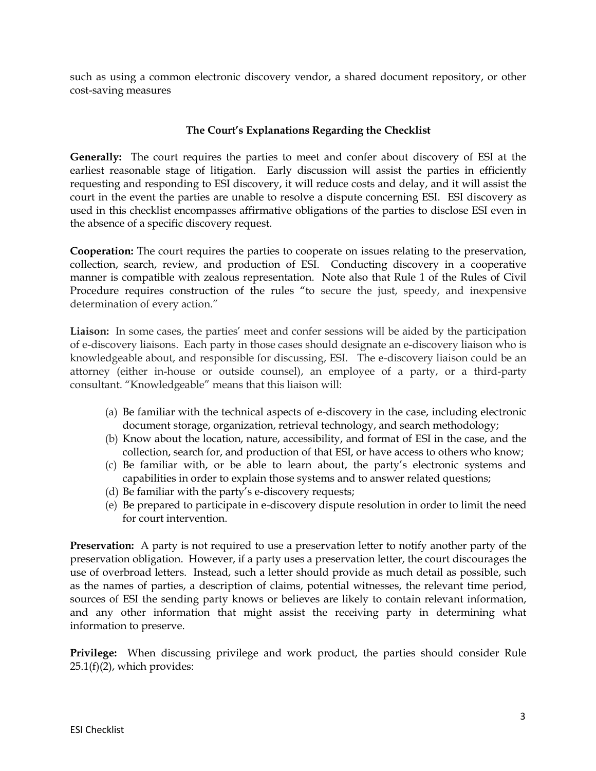such as using a common electronic discovery vendor, a shared document repository, or other cost-saving measures

### **The Court's Explanations Regarding the Checklist**

**Generally:** The court requires the parties to meet and confer about discovery of ESI at the earliest reasonable stage of litigation. Early discussion will assist the parties in efficiently requesting and responding to ESI discovery, it will reduce costs and delay, and it will assist the court in the event the parties are unable to resolve a dispute concerning ESI. ESI discovery as used in this checklist encompasses affirmative obligations of the parties to disclose ESI even in the absence of a specific discovery request.

**Cooperation:** The court requires the parties to cooperate on issues relating to the preservation, collection, search, review, and production of ESI. Conducting discovery in a cooperative manner is compatible with zealous representation. Note also that Rule 1 of the Rules of Civil Procedure requires construction of the rules "to secure the just, speedy, and inexpensive determination of every action."

**Liaison:** In some cases, the parties' meet and confer sessions will be aided by the participation of e-discovery liaisons. Each party in those cases should designate an e-discovery liaison who is knowledgeable about, and responsible for discussing, ESI. The e-discovery liaison could be an attorney (either in-house or outside counsel), an employee of a party, or a third-party consultant. "Knowledgeable" means that this liaison will:

- (a) Be familiar with the technical aspects of e-discovery in the case, including electronic document storage, organization, retrieval technology, and search methodology;
- (b) Know about the location, nature, accessibility, and format of ESI in the case, and the collection, search for, and production of that ESI, or have access to others who know;
- (c) Be familiar with, or be able to learn about, the party's electronic systems and capabilities in order to explain those systems and to answer related questions;
- (d) Be familiar with the party's e-discovery requests;
- (e) Be prepared to participate in e-discovery dispute resolution in order to limit the need for court intervention.

**Preservation:** A party is not required to use a preservation letter to notify another party of the preservation obligation. However, if a party uses a preservation letter, the court discourages the use of overbroad letters. Instead, such a letter should provide as much detail as possible, such as the names of parties, a description of claims, potential witnesses, the relevant time period, sources of ESI the sending party knows or believes are likely to contain relevant information, and any other information that might assist the receiving party in determining what information to preserve.

**Privilege:** When discussing privilege and work product, the parties should consider Rule  $25.1(f)(2)$ , which provides: